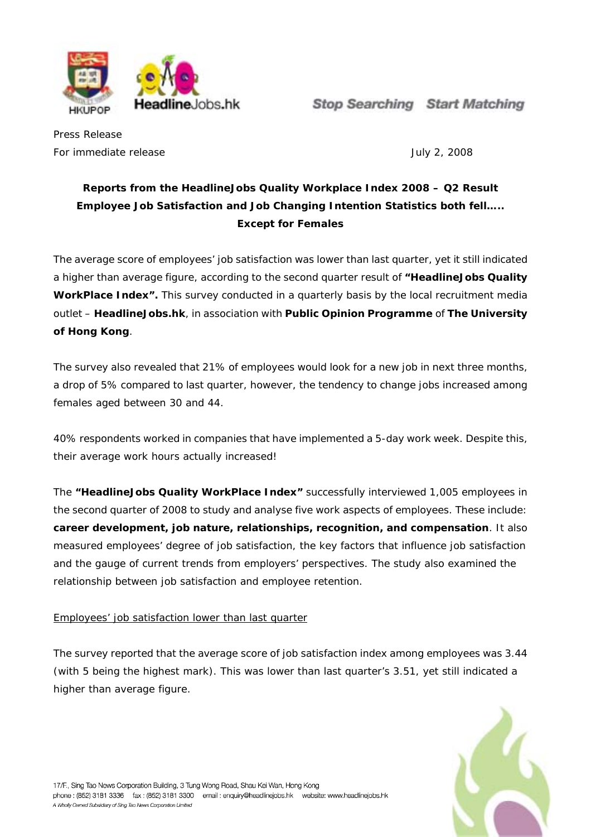

**Stop Searching Start Matching** 

Press Release For immediate release **Authority** 2, 2008

## **Reports from the HeadlineJobs Quality Workplace Index 2008 – Q2 Result Employee Job Satisfaction and Job Changing Intention Statistics both fell….. Except for Females**

The average score of employees' job satisfaction was lower than last quarter, yet it still indicated a higher than average figure, according to the second quarter result of **"HeadlineJobs Quality WorkPlace Index".** This survey conducted in a quarterly basis by the local recruitment media outlet – **HeadlineJobs.hk**, in association with **Public Opinion Programme** of **The University of Hong Kong**.

The survey also revealed that 21% of employees would look for a new job in next three months, a drop of 5% compared to last quarter, however, the tendency to change jobs increased among females aged between 30 and 44.

40% respondents worked in companies that have implemented a 5-day work week. Despite this, their average work hours actually increased!

The **"HeadlineJobs Quality WorkPlace Index"** successfully interviewed 1,005 employees in the second quarter of 2008 to study and analyse five work aspects of employees. These include: **career development, job nature, relationships, recognition, and compensation**. It also measured employees' degree of job satisfaction, the key factors that influence job satisfaction and the gauge of current trends from employers' perspectives. The study also examined the relationship between job satisfaction and employee retention.

## Employees' job satisfaction lower than last quarter

The survey reported that the average score of job satisfaction index among employees was 3.44 (with 5 being the highest mark). This was lower than last quarter's 3.51, yet still indicated a higher than average figure.

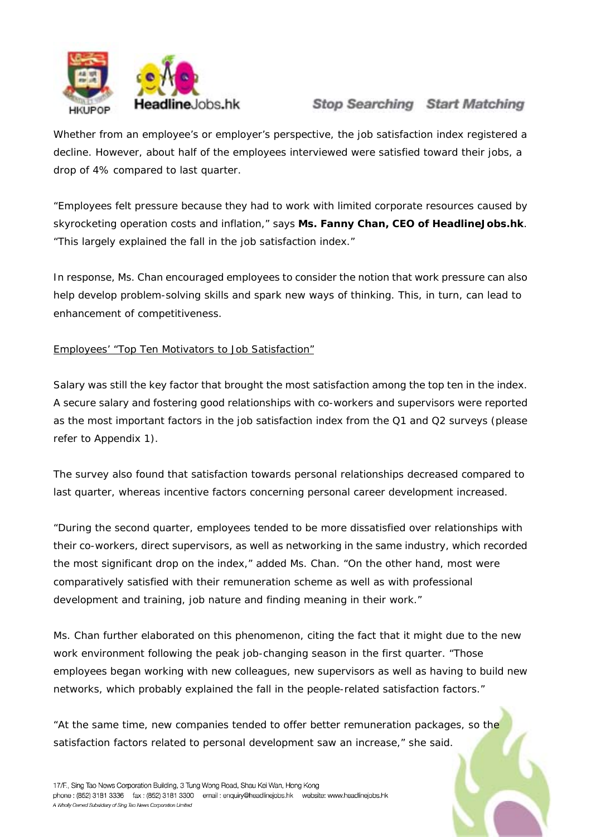

# **Stop Searching Start Matching**

Whether from an employee's or employer's perspective, the job satisfaction index registered a decline. However, about half of the employees interviewed were satisfied toward their jobs, a drop of 4% compared to last quarter.

"Employees felt pressure because they had to work with limited corporate resources caused by skyrocketing operation costs and inflation," says **Ms. Fanny Chan, CEO of HeadlineJobs.hk**. "This largely explained the fall in the job satisfaction index."

In response, Ms. Chan encouraged employees to consider the notion that work pressure can also help develop problem-solving skills and spark new ways of thinking. This, in turn, can lead to enhancement of competitiveness.

### Employees' "Top Ten Motivators to Job Satisfaction"

Salary was still the key factor that brought the most satisfaction among the top ten in the index. A secure salary and fostering good relationships with co-workers and supervisors were reported as the most important factors in the job satisfaction index from the Q1 and Q2 surveys (please refer to Appendix 1).

The survey also found that satisfaction towards personal relationships decreased compared to last quarter, whereas incentive factors concerning personal career development increased.

"During the second quarter, employees tended to be more dissatisfied over relationships with their co-workers, direct supervisors, as well as networking in the same industry, which recorded the most significant drop on the index," added Ms. Chan. "On the other hand, most were comparatively satisfied with their remuneration scheme as well as with professional development and training, job nature and finding meaning in their work."

Ms. Chan further elaborated on this phenomenon, citing the fact that it might due to the new work environment following the peak job-changing season in the first quarter. "Those employees began working with new colleagues, new supervisors as well as having to build new networks, which probably explained the fall in the people-related satisfaction factors."

"At the same time, new companies tended to offer better remuneration packages, so the satisfaction factors related to personal development saw an increase," she said.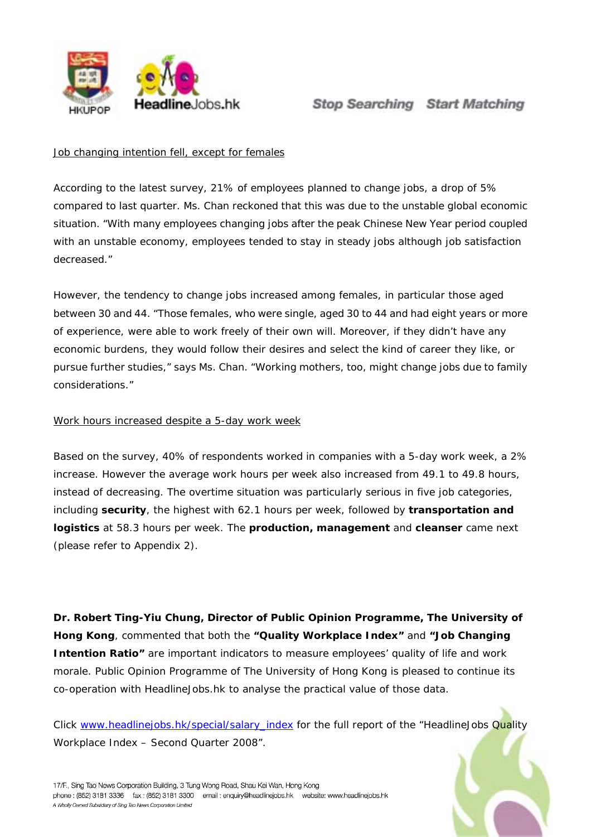

#### Job changing intention fell, except for females

According to the latest survey, 21% of employees planned to change jobs, a drop of 5% compared to last quarter. Ms. Chan reckoned that this was due to the unstable global economic situation. "With many employees changing jobs after the peak Chinese New Year period coupled with an unstable economy, employees tended to stay in steady jobs although job satisfaction decreased."

However, the tendency to change jobs increased among females, in particular those aged between 30 and 44. "Those females, who were single, aged 30 to 44 and had eight years or more of experience, were able to work freely of their own will. Moreover, if they didn't have any economic burdens, they would follow their desires and select the kind of career they like, or pursue further studies," says Ms. Chan. "Working mothers, too, might change jobs due to family considerations."

#### Work hours increased despite a 5-day work week

Based on the survey, 40% of respondents worked in companies with a 5-day work week, a 2% increase. However the average work hours per week also increased from 49.1 to 49.8 hours, instead of decreasing. The overtime situation was particularly serious in five job categories, including **security**, the highest with 62.1 hours per week, followed by **transportation and logistics** at 58.3 hours per week. The **production, management** and **cleanser** came next (please refer to Appendix 2).

**Dr. Robert Ting-Yiu Chung, Director of Public Opinion Programme, The University of Hong Kong**, commented that both the **"Quality Workplace Index"** and **"Job Changing Intention Ratio"** are important indicators to measure employees' quality of life and work morale. Public Opinion Programme of The University of Hong Kong is pleased to continue its co-operation with HeadlineJobs.hk to analyse the practical value of those data.

Click [www.headlinejobs.hk/special/salary\\_index](http://www.headlinejobs.hk/special/salary_index) for the full report of the "HeadlineJobs Quality Workplace Index – Second Quarter 2008".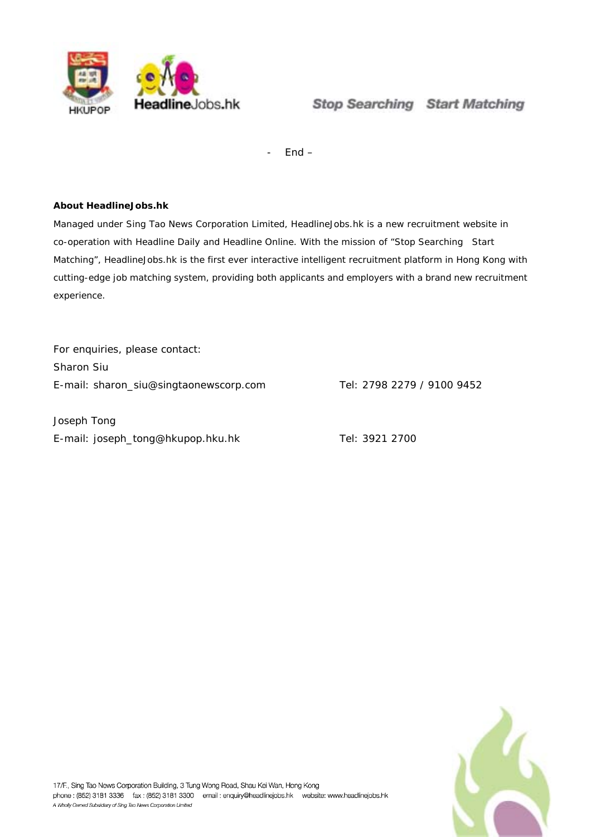

 $End -$ 

#### **About HeadlineJobs.hk**

Managed under Sing Tao News Corporation Limited, HeadlineJobs.hk is a new recruitment website in co-operation with Headline Daily and Headline Online. With the mission of "Stop Searching Start Matching", HeadlineJobs.hk is the first ever interactive intelligent recruitment platform in Hong Kong with cutting-edge job matching system, providing both applicants and employers with a brand new recruitment experience.

For enquiries, please contact: Sharon Siu E-mail: sharon\_siu@singtaonewscorp.com Tel: 2798 2279 / 9100 9452

Joseph Tong E-mail: joseph\_tong@hkupop.hku.hk Tel: 3921 2700